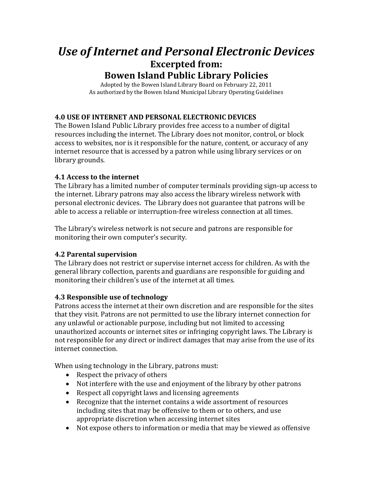# *Use of Internet and Personal Electronic Devices* **Excerpted from: Bowen Island Public Library Policies**

Adopted by the Bowen Island Library Board on February 22, 2011 As authorized by the Bowen Island Municipal Library Operating Guidelines

## **4.0 USE OF INTERNET AND PERSONAL ELECTRONIC DEVICES**

The Bowen Island Public Library provides free access to a number of digital resources including the internet. The Library does not monitor, control, or block access to websites, nor is it responsible for the nature, content, or accuracy of any internet resource that is accessed by a patron while using library services or on library grounds.

#### **4.1 Access to the internet**

The Library has a limited number of computer terminals providing sign-up access to the internet. Library patrons may also access the library wireless network with personal electronic devices. The Library does not guarantee that patrons will be able to access a reliable or interruption-free wireless connection at all times.

The Library's wireless network is not secure and patrons are responsible for monitoring their own computer's security.

#### **4.2 Parental supervision**

The Library does not restrict or supervise internet access for children. As with the general library collection, parents and guardians are responsible for guiding and monitoring their children's use of the internet at all times.

#### **4.3 Responsible use of technology**

Patrons access the internet at their own discretion and are responsible for the sites that they visit. Patrons are not permitted to use the library internet connection for any unlawful or actionable purpose, including but not limited to accessing unauthorized accounts or internet sites or infringing copyright laws. The Library is not responsible for any direct or indirect damages that may arise from the use of its internet connection.

When using technology in the Library, patrons must:

- Respect the privacy of others
- Not interfere with the use and enjoyment of the library by other patrons
- Respect all copyright laws and licensing agreements
- Recognize that the internet contains a wide assortment of resources including sites that may be offensive to them or to others, and use appropriate discretion when accessing internet sites
- Not expose others to information or media that may be viewed as offensive